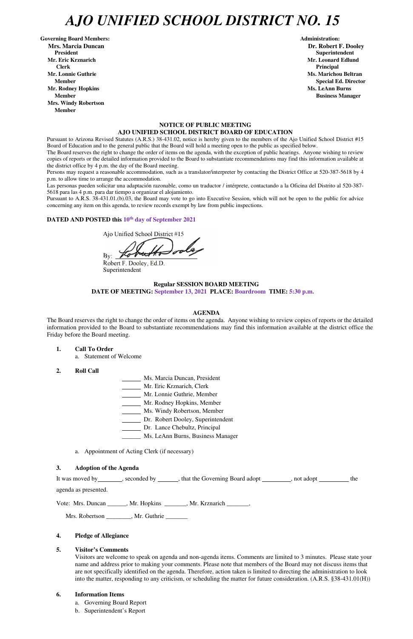# *AJO UNIFIED SCHOOL DISTRICT NO. 15*

Governing Board Members: **Administration: Administration: Administration: Mrs. Marcia Duncan Dr. Robert F. Dooley President Superintendent in the set of the set of the set of the set of the set of the Superintendent Superintendent Mr. Eric Krznarich Mr. Leonard Edlund Clerk Principal Mr. Lonnie Guthrie Ms. Marichou Beltran** *Ms. Marichou Beltran* **Ms. Marichou Beltran <b>Ms. Marichou Beltran Mr. Rodney Hopkins Ms. LeAnn Burns Member Business Manager Business Manager Business Manager Business Manager Mrs. Windy Robertson Member** 

#### **NOTICE OF PUBLIC MEETING AJO UNIFIED SCHOOL DISTRICT BOARD OF EDUCATION**

Pursuant to Arizona Revised Statutes (A.R.S.) 38-431.02, notice is hereby given to the members of the Ajo Unified School District #15 Board of Education and to the general public that the Board will hold a meeting open to the public as specified below.

The Board reserves the right to change the order of items on the agenda, with the exception of public hearings. Anyone wishing to review copies of reports or the detailed information provided to the Board to substantiate recommendations may find this information available at the district office by 4 p.m. the day of the Board meeting.

Persons may request a reasonable accommodation, such as a translator/interpreter by contacting the District Office at 520-387-5618 by 4 p.m. to allow time to arrange the accommodation.

Las personas pueden solicitar una adaptación razonable, como un traductor / intérprete, contactando a la Oficina del Distrito al 520-387- 5618 para las 4 p.m. para dar tiempo a organizar el alojamiento.

It was moved by seconded by \_\_\_\_\_, that the Governing Board adopt \_\_\_\_\_\_\_, not adopt \_\_\_\_\_\_\_ the agenda as presented.

Pursuant to A.R.S. 38-431.01.(b).03, the Board may vote to go into Executive Session, which will not be open to the public for advice concerning any item on this agenda, to review records exempt by law from public inspections.

# **DATED AND POSTED this 10th day of September 2021**

Ajo Unified School District #15

 $By:$ 

Robert F. Dooley, Ed.D. Superintendent

### **Regular SESSION BOARD MEETING DATE OF MEETING: September 13, 2021 PLACE: Boardroom TIME: 5:30 p.m.**

#### **AGENDA**

The Board reserves the right to change the order of items on the agenda. Anyone wishing to review copies of reports or the detailed information provided to the Board to substantiate recommendations may find this information available at the district office the Friday before the Board meeting.

- **1. Call To Order** 
	- a. Statement of Welcome
- **2. Roll Call**
- Ms. Marcia Duncan, President
- Mr. Eric Krznarich, Clerk
- Mr. Lonnie Guthrie, Member
- Mr. Rodney Hopkins, Member
- Ms. Windy Robertson, Member
- Dr. Robert Dooley, Superintendent
- Dr. Lance Chebultz, Principal
- \_\_\_\_\_\_ Ms. LeAnn Burns, Business Manager
- a. Appointment of Acting Clerk (if necessary)

#### **3. Adoption of the Agenda**

**Member** Special Ed. Director **Special Ed. Director** 

Vote: Mrs. Duncan \_\_\_\_\_\_, Mr. Hopkins \_\_\_\_\_\_\_, Mr. Krznarich \_\_\_\_\_\_\_,

Mrs. Robertson \_\_\_\_\_\_\_\_, Mr. Guthrie \_\_\_\_\_\_\_

### **4. Pledge of Allegiance**

#### **5. Visitor's Comments**

Visitors are welcome to speak on agenda and non-agenda items. Comments are limited to 3 minutes. Please state your name and address prior to making your comments. Please note that members of the Board may not discuss items that are not specifically identified on the agenda. Therefore, action taken is limited to directing the administration to look into the matter, responding to any criticism, or scheduling the matter for future consideration. (A.R.S. §38-431.01(H))

#### **6. Information Items**

- a. Governing Board Report
- b. Superintendent's Report